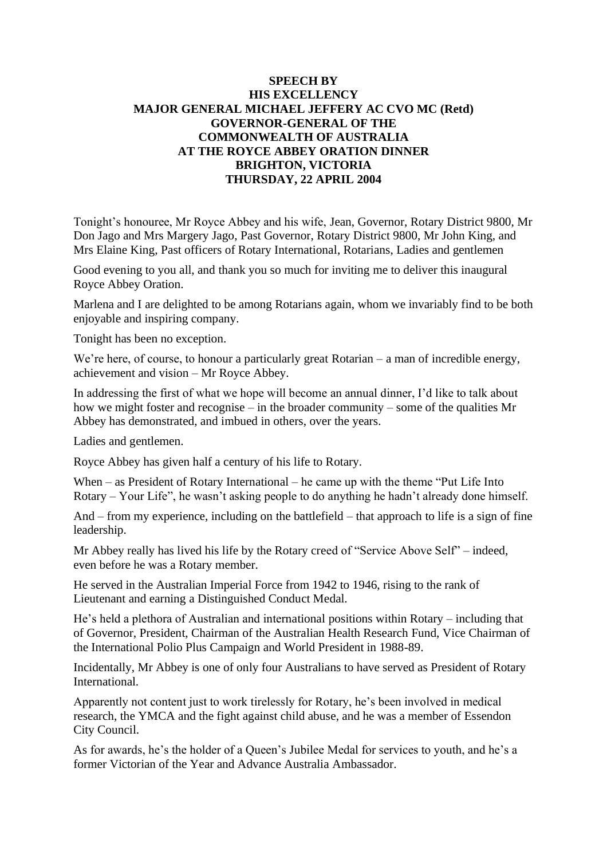## **SPEECH BY HIS EXCELLENCY MAJOR GENERAL MICHAEL JEFFERY AC CVO MC (Retd) GOVERNOR-GENERAL OF THE COMMONWEALTH OF AUSTRALIA AT THE ROYCE ABBEY ORATION DINNER BRIGHTON, VICTORIA THURSDAY, 22 APRIL 2004**

Tonight's honouree, Mr Royce Abbey and his wife, Jean, Governor, Rotary District 9800, Mr Don Jago and Mrs Margery Jago, Past Governor, Rotary District 9800, Mr John King, and Mrs Elaine King, Past officers of Rotary International, Rotarians, Ladies and gentlemen

Good evening to you all, and thank you so much for inviting me to deliver this inaugural Royce Abbey Oration.

Marlena and I are delighted to be among Rotarians again, whom we invariably find to be both enjoyable and inspiring company.

Tonight has been no exception.

We're here, of course, to honour a particularly great Rotarian – a man of incredible energy, achievement and vision – Mr Royce Abbey.

In addressing the first of what we hope will become an annual dinner, I'd like to talk about how we might foster and recognise – in the broader community – some of the qualities Mr Abbey has demonstrated, and imbued in others, over the years.

Ladies and gentlemen.

Royce Abbey has given half a century of his life to Rotary.

When – as President of Rotary International – he came up with the theme "Put Life Into Rotary – Your Life", he wasn't asking people to do anything he hadn't already done himself.

And – from my experience, including on the battlefield – that approach to life is a sign of fine leadership.

Mr Abbey really has lived his life by the Rotary creed of "Service Above Self" – indeed, even before he was a Rotary member.

He served in the Australian Imperial Force from 1942 to 1946, rising to the rank of Lieutenant and earning a Distinguished Conduct Medal.

He's held a plethora of Australian and international positions within Rotary – including that of Governor, President, Chairman of the Australian Health Research Fund, Vice Chairman of the International Polio Plus Campaign and World President in 1988-89.

Incidentally, Mr Abbey is one of only four Australians to have served as President of Rotary International.

Apparently not content just to work tirelessly for Rotary, he's been involved in medical research, the YMCA and the fight against child abuse, and he was a member of Essendon City Council.

As for awards, he's the holder of a Queen's Jubilee Medal for services to youth, and he's a former Victorian of the Year and Advance Australia Ambassador.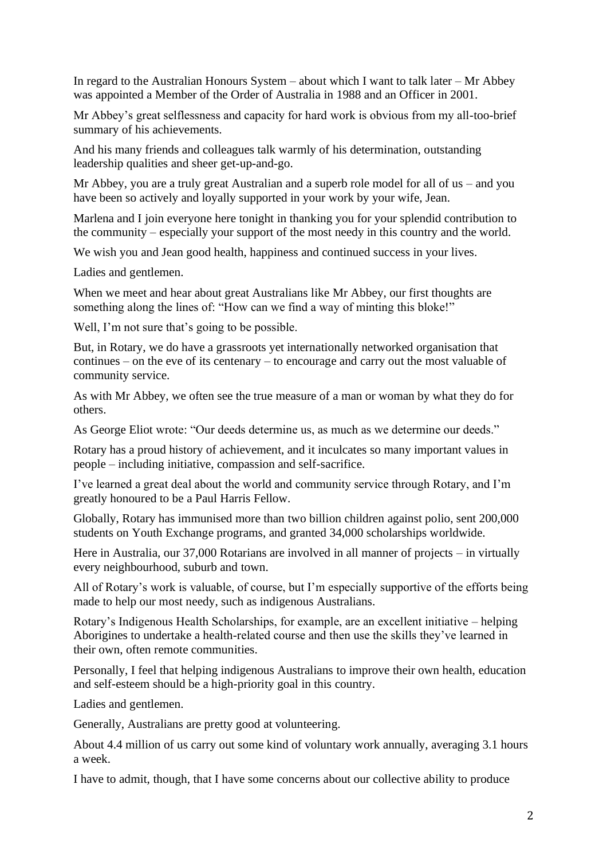In regard to the Australian Honours System – about which I want to talk later – Mr Abbey was appointed a Member of the Order of Australia in 1988 and an Officer in 2001.

Mr Abbey's great selflessness and capacity for hard work is obvious from my all-too-brief summary of his achievements.

And his many friends and colleagues talk warmly of his determination, outstanding leadership qualities and sheer get-up-and-go.

Mr Abbey, you are a truly great Australian and a superb role model for all of us – and you have been so actively and loyally supported in your work by your wife, Jean.

Marlena and I join everyone here tonight in thanking you for your splendid contribution to the community – especially your support of the most needy in this country and the world.

We wish you and Jean good health, happiness and continued success in your lives.

Ladies and gentlemen.

When we meet and hear about great Australians like Mr Abbey, our first thoughts are something along the lines of: "How can we find a way of minting this bloke!"

Well, I'm not sure that's going to be possible.

But, in Rotary, we do have a grassroots yet internationally networked organisation that continues – on the eve of its centenary – to encourage and carry out the most valuable of community service.

As with Mr Abbey, we often see the true measure of a man or woman by what they do for others.

As George Eliot wrote: "Our deeds determine us, as much as we determine our deeds."

Rotary has a proud history of achievement, and it inculcates so many important values in people – including initiative, compassion and self-sacrifice.

I've learned a great deal about the world and community service through Rotary, and I'm greatly honoured to be a Paul Harris Fellow.

Globally, Rotary has immunised more than two billion children against polio, sent 200,000 students on Youth Exchange programs, and granted 34,000 scholarships worldwide.

Here in Australia, our 37,000 Rotarians are involved in all manner of projects – in virtually every neighbourhood, suburb and town.

All of Rotary's work is valuable, of course, but I'm especially supportive of the efforts being made to help our most needy, such as indigenous Australians.

Rotary's Indigenous Health Scholarships, for example, are an excellent initiative – helping Aborigines to undertake a health-related course and then use the skills they've learned in their own, often remote communities.

Personally, I feel that helping indigenous Australians to improve their own health, education and self-esteem should be a high-priority goal in this country.

Ladies and gentlemen.

Generally, Australians are pretty good at volunteering.

About 4.4 million of us carry out some kind of voluntary work annually, averaging 3.1 hours a week.

I have to admit, though, that I have some concerns about our collective ability to produce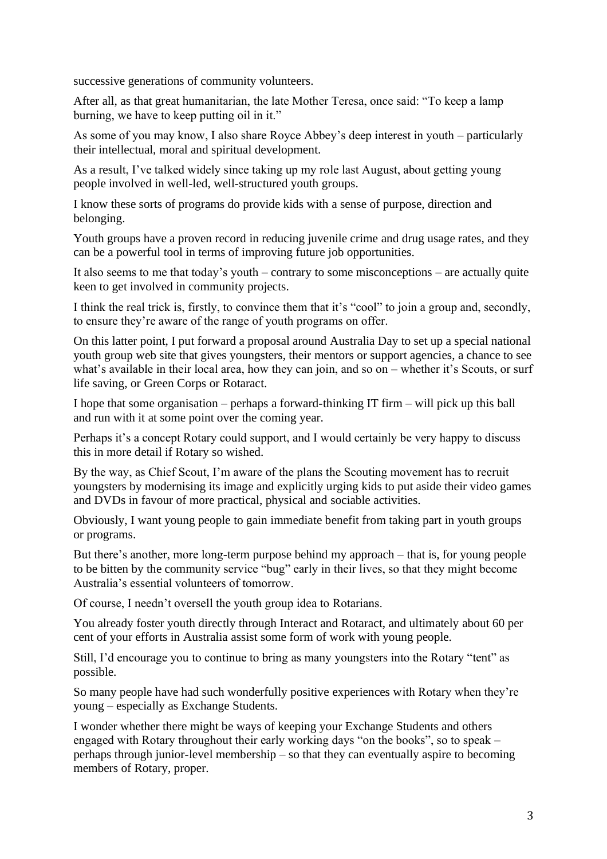successive generations of community volunteers.

After all, as that great humanitarian, the late Mother Teresa, once said: "To keep a lamp burning, we have to keep putting oil in it."

As some of you may know, I also share Royce Abbey's deep interest in youth – particularly their intellectual, moral and spiritual development.

As a result, I've talked widely since taking up my role last August, about getting young people involved in well-led, well-structured youth groups.

I know these sorts of programs do provide kids with a sense of purpose, direction and belonging.

Youth groups have a proven record in reducing juvenile crime and drug usage rates, and they can be a powerful tool in terms of improving future job opportunities.

It also seems to me that today's youth – contrary to some misconceptions – are actually quite keen to get involved in community projects.

I think the real trick is, firstly, to convince them that it's "cool" to join a group and, secondly, to ensure they're aware of the range of youth programs on offer.

On this latter point, I put forward a proposal around Australia Day to set up a special national youth group web site that gives youngsters, their mentors or support agencies, a chance to see what's available in their local area, how they can join, and so on – whether it's Scouts, or surf life saving, or Green Corps or Rotaract.

I hope that some organisation – perhaps a forward-thinking IT firm – will pick up this ball and run with it at some point over the coming year.

Perhaps it's a concept Rotary could support, and I would certainly be very happy to discuss this in more detail if Rotary so wished.

By the way, as Chief Scout, I'm aware of the plans the Scouting movement has to recruit youngsters by modernising its image and explicitly urging kids to put aside their video games and DVDs in favour of more practical, physical and sociable activities.

Obviously, I want young people to gain immediate benefit from taking part in youth groups or programs.

But there's another, more long-term purpose behind my approach – that is, for young people to be bitten by the community service "bug" early in their lives, so that they might become Australia's essential volunteers of tomorrow.

Of course, I needn't oversell the youth group idea to Rotarians.

You already foster youth directly through Interact and Rotaract, and ultimately about 60 per cent of your efforts in Australia assist some form of work with young people.

Still, I'd encourage you to continue to bring as many youngsters into the Rotary "tent" as possible.

So many people have had such wonderfully positive experiences with Rotary when they're young – especially as Exchange Students.

I wonder whether there might be ways of keeping your Exchange Students and others engaged with Rotary throughout their early working days "on the books", so to speak – perhaps through junior-level membership – so that they can eventually aspire to becoming members of Rotary, proper.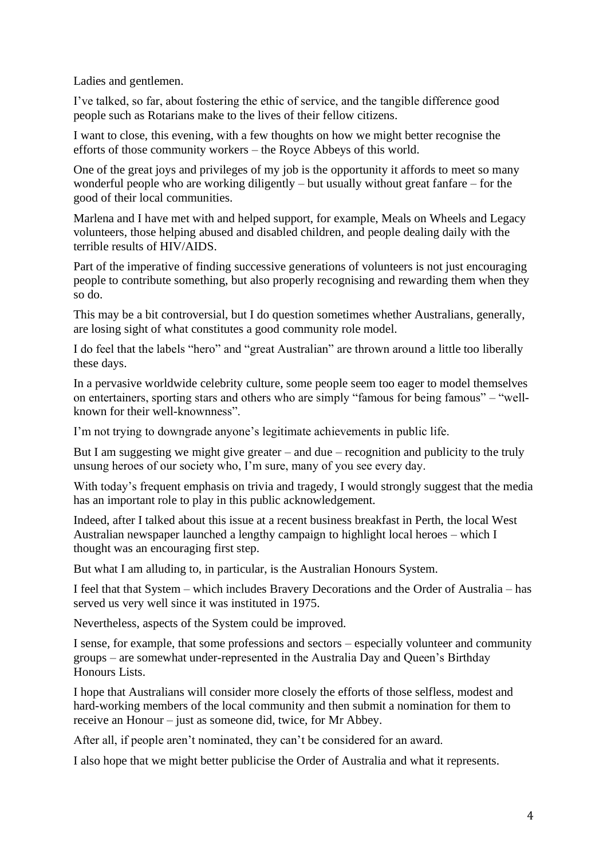Ladies and gentlemen.

I've talked, so far, about fostering the ethic of service, and the tangible difference good people such as Rotarians make to the lives of their fellow citizens.

I want to close, this evening, with a few thoughts on how we might better recognise the efforts of those community workers – the Royce Abbeys of this world.

One of the great joys and privileges of my job is the opportunity it affords to meet so many wonderful people who are working diligently – but usually without great fanfare – for the good of their local communities.

Marlena and I have met with and helped support, for example, Meals on Wheels and Legacy volunteers, those helping abused and disabled children, and people dealing daily with the terrible results of HIV/AIDS.

Part of the imperative of finding successive generations of volunteers is not just encouraging people to contribute something, but also properly recognising and rewarding them when they so do.

This may be a bit controversial, but I do question sometimes whether Australians, generally, are losing sight of what constitutes a good community role model.

I do feel that the labels "hero" and "great Australian" are thrown around a little too liberally these days.

In a pervasive worldwide celebrity culture, some people seem too eager to model themselves on entertainers, sporting stars and others who are simply "famous for being famous" – "wellknown for their well-knownness".

I'm not trying to downgrade anyone's legitimate achievements in public life.

But I am suggesting we might give greater – and due – recognition and publicity to the truly unsung heroes of our society who, I'm sure, many of you see every day.

With today's frequent emphasis on trivia and tragedy, I would strongly suggest that the media has an important role to play in this public acknowledgement.

Indeed, after I talked about this issue at a recent business breakfast in Perth, the local West Australian newspaper launched a lengthy campaign to highlight local heroes – which I thought was an encouraging first step.

But what I am alluding to, in particular, is the Australian Honours System.

I feel that that System – which includes Bravery Decorations and the Order of Australia – has served us very well since it was instituted in 1975.

Nevertheless, aspects of the System could be improved.

I sense, for example, that some professions and sectors – especially volunteer and community groups – are somewhat under-represented in the Australia Day and Queen's Birthday Honours Lists.

I hope that Australians will consider more closely the efforts of those selfless, modest and hard-working members of the local community and then submit a nomination for them to receive an Honour – just as someone did, twice, for Mr Abbey.

After all, if people aren't nominated, they can't be considered for an award.

I also hope that we might better publicise the Order of Australia and what it represents.